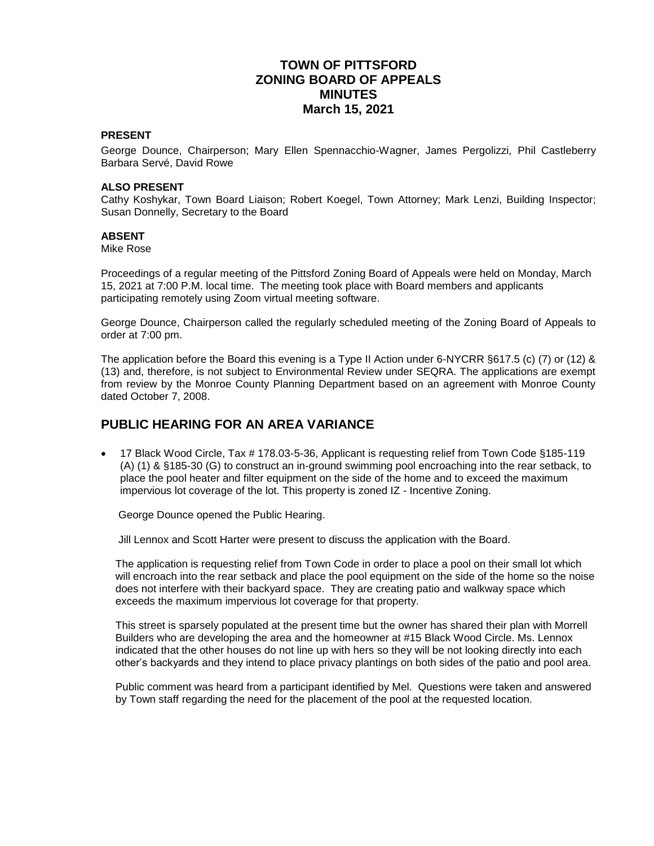## **TOWN OF PITTSFORD ZONING BOARD OF APPEALS MINUTES March 15, 2021**

#### **PRESENT**

George Dounce, Chairperson; Mary Ellen Spennacchio-Wagner, James Pergolizzi, Phil Castleberry Barbara Servé, David Rowe

#### **ALSO PRESENT**

Cathy Koshykar, Town Board Liaison; Robert Koegel, Town Attorney; Mark Lenzi, Building Inspector; Susan Donnelly, Secretary to the Board

#### **ABSENT**

Mike Rose

Proceedings of a regular meeting of the Pittsford Zoning Board of Appeals were held on Monday, March 15, 2021 at 7:00 P.M. local time. The meeting took place with Board members and applicants participating remotely using Zoom virtual meeting software.

George Dounce, Chairperson called the regularly scheduled meeting of the Zoning Board of Appeals to order at 7:00 pm.

The application before the Board this evening is a Type II Action under 6-NYCRR §617.5 (c) (7) or (12) & (13) and, therefore, is not subject to Environmental Review under SEQRA. The applications are exempt from review by the Monroe County Planning Department based on an agreement with Monroe County dated October 7, 2008.

### **PUBLIC HEARING FOR AN AREA VARIANCE**

 17 Black Wood Circle, Tax # 178.03-5-36, Applicant is requesting relief from Town Code §185-119 (A) (1) & §185-30 (G) to construct an in-ground swimming pool encroaching into the rear setback, to place the pool heater and filter equipment on the side of the home and to exceed the maximum impervious lot coverage of the lot. This property is zoned IZ - Incentive Zoning.

George Dounce opened the Public Hearing.

Jill Lennox and Scott Harter were present to discuss the application with the Board.

The application is requesting relief from Town Code in order to place a pool on their small lot which will encroach into the rear setback and place the pool equipment on the side of the home so the noise does not interfere with their backyard space. They are creating patio and walkway space which exceeds the maximum impervious lot coverage for that property.

This street is sparsely populated at the present time but the owner has shared their plan with Morrell Builders who are developing the area and the homeowner at #15 Black Wood Circle. Ms. Lennox indicated that the other houses do not line up with hers so they will be not looking directly into each other's backyards and they intend to place privacy plantings on both sides of the patio and pool area.

Public comment was heard from a participant identified by Mel. Questions were taken and answered by Town staff regarding the need for the placement of the pool at the requested location.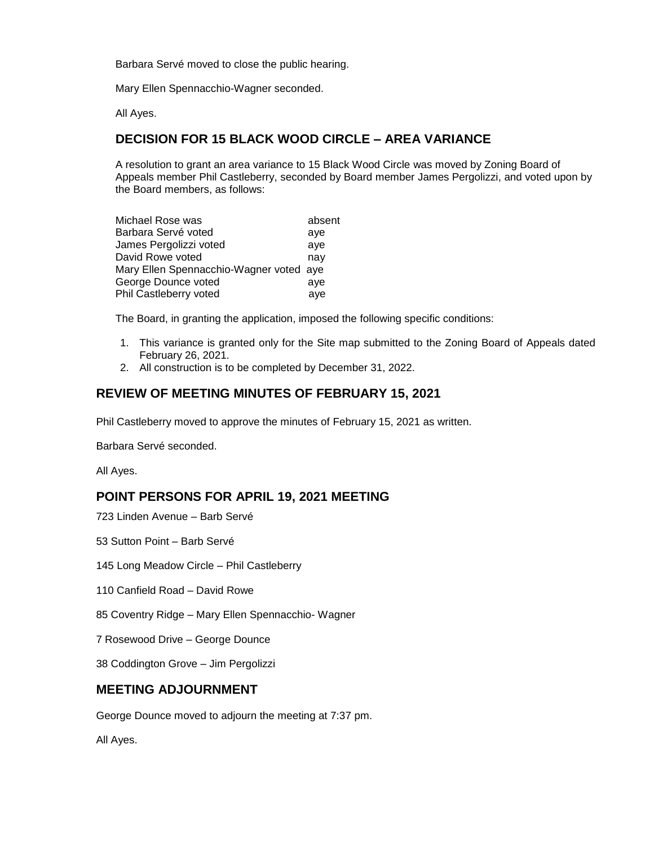Barbara Servé moved to close the public hearing.

Mary Ellen Spennacchio-Wagner seconded.

All Ayes.

# **DECISION FOR 15 BLACK WOOD CIRCLE – AREA VARIANCE**

A resolution to grant an area variance to 15 Black Wood Circle was moved by Zoning Board of Appeals member Phil Castleberry, seconded by Board member James Pergolizzi, and voted upon by the Board members, as follows:

| Michael Rose was                        | absent |
|-----------------------------------------|--------|
| Barbara Servé voted                     | aye    |
| James Pergolizzi voted                  | ave    |
| David Rowe voted                        | nay    |
| Mary Ellen Spennacchio-Wagner voted aye |        |
| George Dounce voted                     | ave    |
| Phil Castleberry voted                  | aye    |

The Board, in granting the application, imposed the following specific conditions:

- 1. This variance is granted only for the Site map submitted to the Zoning Board of Appeals dated February 26, 2021.
- 2. All construction is to be completed by December 31, 2022.

## **REVIEW OF MEETING MINUTES OF FEBRUARY 15, 2021**

Phil Castleberry moved to approve the minutes of February 15, 2021 as written.

Barbara Servé seconded.

All Ayes.

### **POINT PERSONS FOR APRIL 19, 2021 MEETING**

723 Linden Avenue – Barb Servé

53 Sutton Point – Barb Servé

145 Long Meadow Circle – Phil Castleberry

110 Canfield Road – David Rowe

85 Coventry Ridge – Mary Ellen Spennacchio- Wagner

7 Rosewood Drive – George Dounce

38 Coddington Grove – Jim Pergolizzi

### **MEETING ADJOURNMENT**

George Dounce moved to adjourn the meeting at 7:37 pm.

All Ayes.